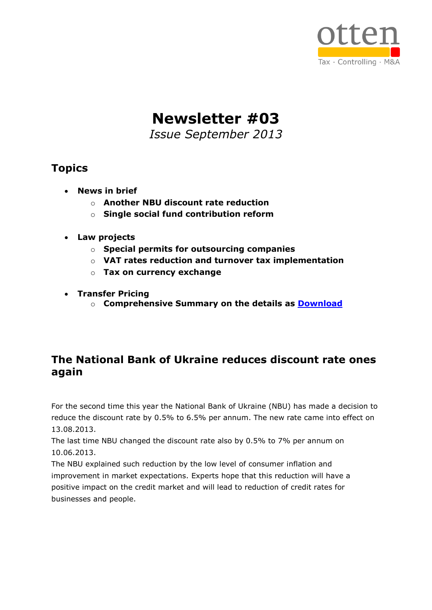

**Newsletter #03**

*Issue September 2013*

# **Topics**

- **News in brief**
	- o **Another NBU discount rate reduction**
	- o **Single social fund contribution reform**
- **Law projects**
	- o **Special permits for outsourcing companies**
	- o **VAT rates reduction and turnover tax implementation**
	- o **Tax on currency exchange**
- **Transfer Pricing**
	- o **Comprehensive Summary on the details as [Download](http://www.otten-consulting.de/images/stories/pdf/transfer%20pricing%20rules_main%20points.pdf)**

# **The National Bank of Ukraine reduces discount rate ones again**

For the second time this year the National Bank of Ukraine (NBU) has made a decision to reduce the discount rate by 0.5% to 6.5% per annum. The new rate came into effect on 13.08.2013.

The last time NBU changed the discount rate also by 0.5% to 7% per annum on 10.06.2013.

The NBU explained such reduction by the low level of consumer inflation and improvement in market expectations. Experts hope that this reduction will have a positive impact on the credit market and will lead to reduction of credit rates for businesses and people.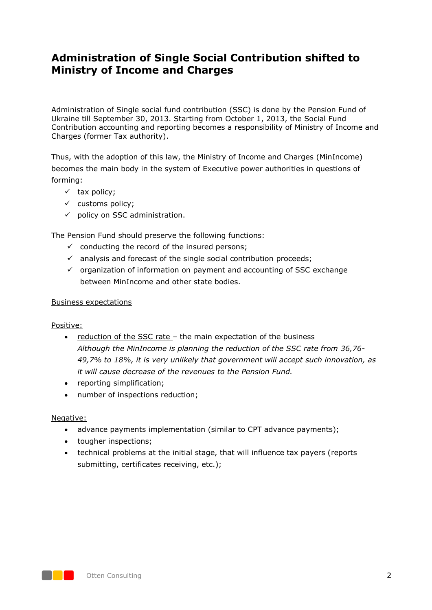## **Administration of Single Social Contribution shifted to Ministry of Income and Charges**

Administration of Single social fund contribution (SSC) is done by the Pension Fund of Ukraine till September 30, 2013. Starting from October 1, 2013, the Social Fund Contribution accounting and reporting becomes a responsibility of Ministry of Income and Charges (former Tax authority).

Thus, with the adoption of this law, the Ministry of Income and Charges (MinIncome) becomes the main body in the system of Executive power authorities in questions of forming:

- $\checkmark$  tax policy;
- $\checkmark$  customs policy;
- $\checkmark$  policy on SSC administration.

The Pension Fund should preserve the following functions:

- $\checkmark$  conducting the record of the insured persons;
- $\checkmark$  analysis and forecast of the single social contribution proceeds;
- $\checkmark$  organization of information on payment and accounting of SSC exchange between MinIncome and other state bodies.

#### Business expectations

Positive:

- reduction of the SSC rate the main expectation of the business *Although the MinIncome is planning the reduction of the SSC rate from 36,76- 49,7% to 18%, it is very unlikely that government will accept such innovation, as it will cause decrease of the revenues to the Pension Fund.*
- reporting simplification:
- number of inspections reduction;

#### Negative:

- advance payments implementation (similar to CPT advance payments);
- tougher inspections;
- technical problems at the initial stage, that will influence tax payers (reports submitting, certificates receiving, etc.);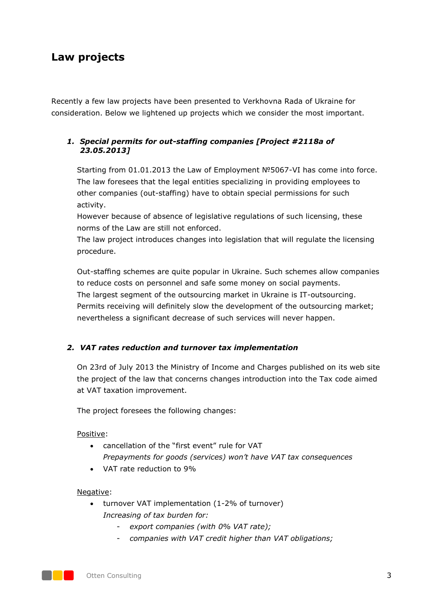# **Law projects**

Recently a few law projects have been presented to Verkhovna Rada of Ukraine for consideration. Below we lightened up projects which we consider the most important.

### *1. Special permits for out-staffing companies [Project #2118a of 23.05.2013]*

Starting from 01.01.2013 the Law of Employment №5067-VI has come into force. The law foresees that the legal entities specializing in providing employees to other companies (out-staffing) have to obtain special permissions for such activity.

However because of absence of legislative regulations of such licensing, these norms of the Law are still not enforced.

The law project introduces changes into legislation that will regulate the licensing procedure.

Out-staffing schemes are quite popular in Ukraine. Such schemes allow companies to reduce costs on personnel and safe some money on social payments. The largest segment of the outsourcing market in Ukraine is IT-outsourcing. Permits receiving will definitely slow the development of the outsourcing market; nevertheless a significant decrease of such services will never happen.

### *2. VAT rates reduction and turnover tax implementation*

On 23rd of July 2013 the Ministry of Income and Charges published on its web site the project of the law that concerns changes introduction into the Tax code aimed at VAT taxation improvement.

The project foresees the following changes:

#### Positive:

- cancellation of the "first event" rule for VAT *Prepayments for goods (services) won't have VAT tax consequences*
- VAT rate reduction to 9%

#### Negative:

- turnover VAT implementation (1-2% of turnover) *Increasing of tax burden for:*
	- *export companies (with 0% VAT rate);*
	- *companies with VAT credit higher than VAT obligations;*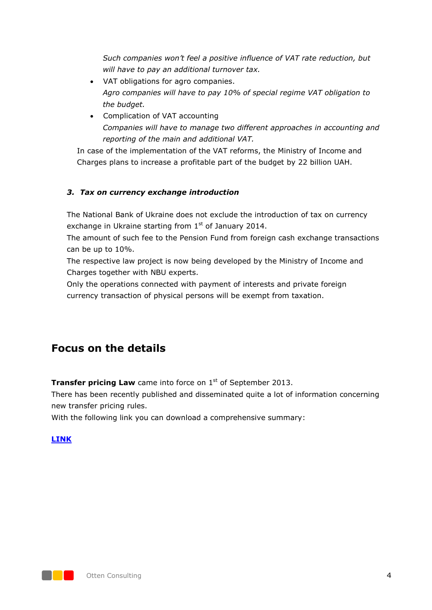*Such companies won't feel a positive influence of VAT rate reduction, but will have to pay an additional turnover tax.* 

- VAT obligations for agro companies. *Agro companies will have to pay 10% of special regime VAT obligation to the budget.*
- Complication of VAT accounting *Companies will have to manage two different approaches in accounting and reporting of the main and additional VAT.*

In case of the implementation of the VAT reforms, the Ministry of Income and Charges plans to increase a profitable part of the budget by 22 billion UAH.

### *3. Tax on currency exchange introduction*

The National Bank of Ukraine does not exclude the introduction of tax on currency exchange in Ukraine starting from  $1<sup>st</sup>$  of January 2014.

The amount of such fee to the Pension Fund from foreign cash exchange transactions can be up to 10%.

The respective law project is now being developed by the Ministry of Income and Charges together with NBU experts.

Only the operations connected with payment of interests and private foreign currency transaction of physical persons will be exempt from taxation.

### **Focus on the details**

**Transfer pricing Law** came into force on 1<sup>st</sup> of September 2013.

There has been recently published and disseminated quite a lot of information concerning new transfer pricing rules.

With the following link you can download a comprehensive summary:

#### **[LINK](http://www.otten-consulting.de/images/stories/pdf/transfer%20pricing%20rules_main%20points.pdf)**